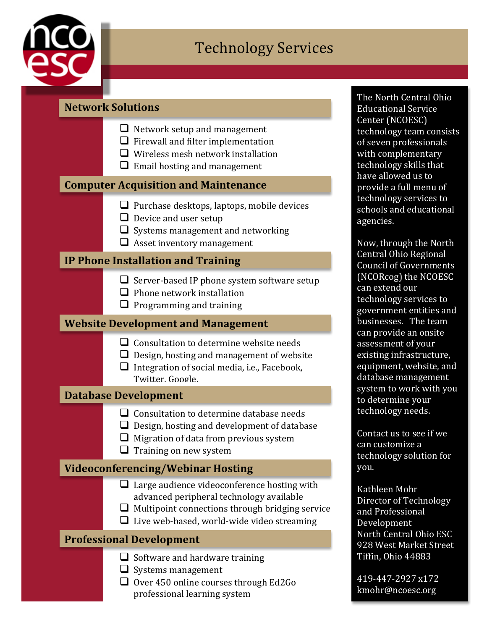

## **Technology Services**

## **Network Solutions**

|                                             | $\Box$ Network setup and management<br>$\Box$ Firewall and filter implementation<br>$\Box$ Wireless mesh network installation<br>$\Box$ Email hosting and management                                   |  |
|---------------------------------------------|--------------------------------------------------------------------------------------------------------------------------------------------------------------------------------------------------------|--|
| <b>Computer Acquisition and Maintenance</b> |                                                                                                                                                                                                        |  |
|                                             | $\Box$ Purchase desktops, laptops, mobile devices<br>$\Box$ Device and user setup<br>$\Box$ Systems management and networking<br>$\Box$ Asset inventory management                                     |  |
|                                             | <b>IP Phone Installation and Training</b>                                                                                                                                                              |  |
|                                             | $\Box$ Server-based IP phone system software setup<br>$\Box$ Phone network installation<br>$\Box$ Programming and training                                                                             |  |
| <b>Website Development and Management</b>   |                                                                                                                                                                                                        |  |
|                                             | $\Box$ Consultation to determine website needs<br>$\Box$ Design, hosting and management of website<br>$\Box$ Integration of social media, i.e., Facebook,<br>Twitter, Google.                          |  |
|                                             | <b>Database Development</b>                                                                                                                                                                            |  |
|                                             | $\Box$ Consultation to determine database needs<br>$\Box$ Design, hosting and development of database<br>$\Box$ Migration of data from previous system<br>$\Box$ Training on new system                |  |
| <b>Videoconferencing/Webinar Hosting</b>    |                                                                                                                                                                                                        |  |
|                                             | $\Box$ Large audience videoconference hosting with<br>advanced peripheral technology available<br>Multipoint connections through bridging service<br>$\Box$ Live web-based, world-wide video streaming |  |
|                                             | <b>Professional Development</b>                                                                                                                                                                        |  |
|                                             | $\Box$ Software and hardware training<br>Systems management<br>Over 450 online courses through Ed2Go                                                                                                   |  |

professional learning system

The North Central Ohio Educational Service Center (NCOESC) technology team consists of seven professionals with complementary technology skills that have allowed us to provide a full menu of technology services to schools and educational agencies. 

Now, through the North Central Ohio Regional Council of Governments (NCORcog) the NCOESC can extend our technology services to government entities and businesses. The team can provide an onsite assessment of your existing infrastructure, equipment, website, and database management system to work with you to determine your technology needs.

Contact us to see if we can customize a technology solution for you.

Kathleen Mohr Director of Technology and Professional Development North Central Ohio ESC 928 West Market Street Tiffin, Ohio 44883

419-447-2927 x172 kmohr@ncoesc.org